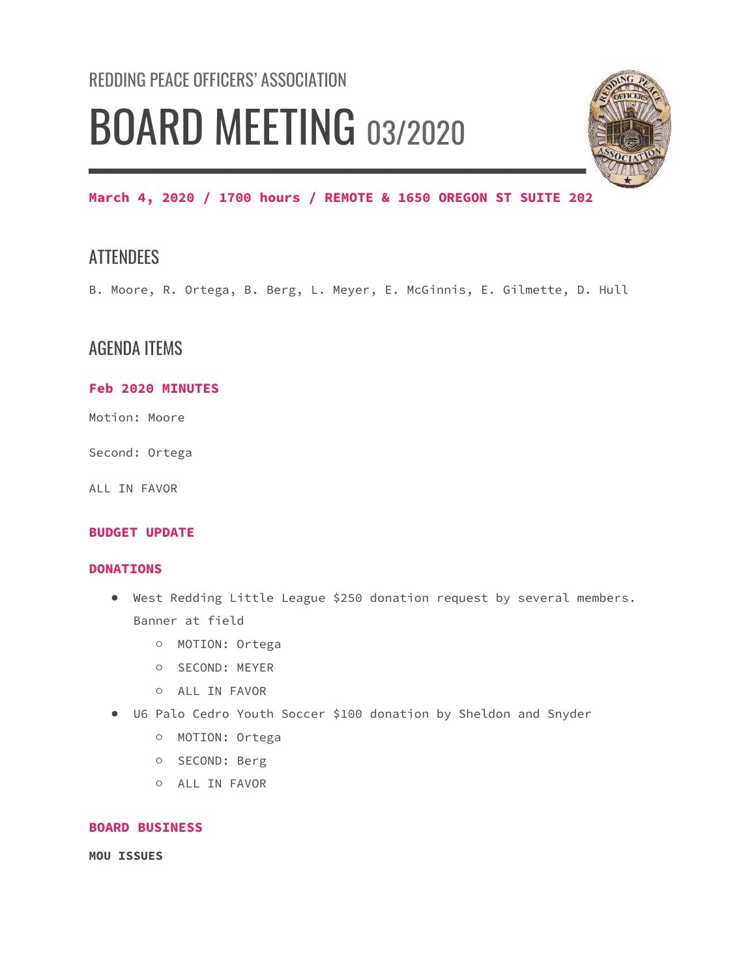# REDDING PEACE OFFICERS' ASSOCIATION BOARD MEETING 03/2020



March 4, 2020 / 1700 hours / REMOTE & 1650 OREGON ST SUITE 202

## **ATTENDEES**

B. Moore, R. Ortega, B. Berg, L. Meyer, E. McGinnis, E. Gilmette, D. Hull

## AGENDA ITEMS

### Feb 2020 MINUTES

Motion: Moore

Second: Ortega

ALL IN FAVOR

#### BUDGET UPDATE

#### DONATIONS

- West Redding Little League \$250 donation request by several members. Banner at field
	- MOTION: Ortega
	- SECOND: MEYER
	- ALL IN FAVOR
- U6 Palo Cedro Youth Soccer \$100 donation by Sheldon and Snyder
	- MOTION: Ortega
	- SECOND: Berg
	- ALL IN FAVOR

#### BOARD BUSINESS

MOU ISSUES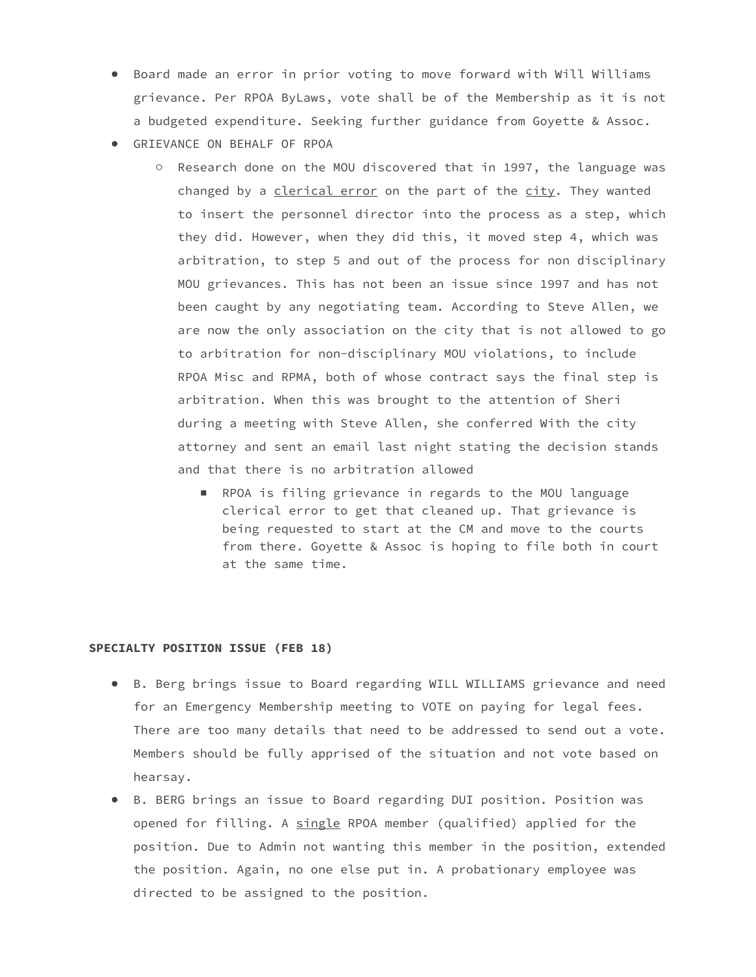- Board made an error in prior voting to move forward with Will Williams grievance. Per RPOA ByLaws, vote shall be of the Membership as it is not a budgeted expenditure. Seeking further guidance from Goyette & Assoc.
- GRIEVANCE ON BEHALF OF RPOA
	- Research done on the MOU discovered that in 1997, the language was changed by a clerical error on the part of the city. They wanted to insert the personnel director into the process as a step, which they did. However, when they did this, it moved step 4, which was arbitration, to step 5 and out of the process for non disciplinary MOU grievances. This has not been an issue since 1997 and has not been caught by any negotiating team. According to Steve Allen, we are now the only association on the city that is not allowed to go to arbitration for non-disciplinary MOU violations, to include RPOA Misc and RPMA, both of whose contract says the final step is arbitration. When this was brought to the attention of Sheri during a meeting with Steve Allen, she conferred With the city attorney and sent an email last night stating the decision stands and that there is no arbitration allowed
		- RPOA is filing grievance in regards to the MOU language clerical error to get that cleaned up. That grievance is being requested to start at the CM and move to the courts from there. Goyette & Assoc is hoping to file both in court at the same time.

#### SPECIALTY POSITION ISSUE (FEB 18)

- B. Berg brings issue to Board regarding WILL WILLIAMS grievance and need for an Emergency Membership meeting to VOTE on paying for legal fees. There are too many details that need to be addressed to send out a vote. Members should be fully apprised of the situation and not vote based on hearsay.
- B. BERG brings an issue to Board regarding DUI position. Position was opened for filling. A single RPOA member (qualified) applied for the position. Due to Admin not wanting this member in the position, extended the position. Again, no one else put in. A probationary employee was directed to be assigned to the position.